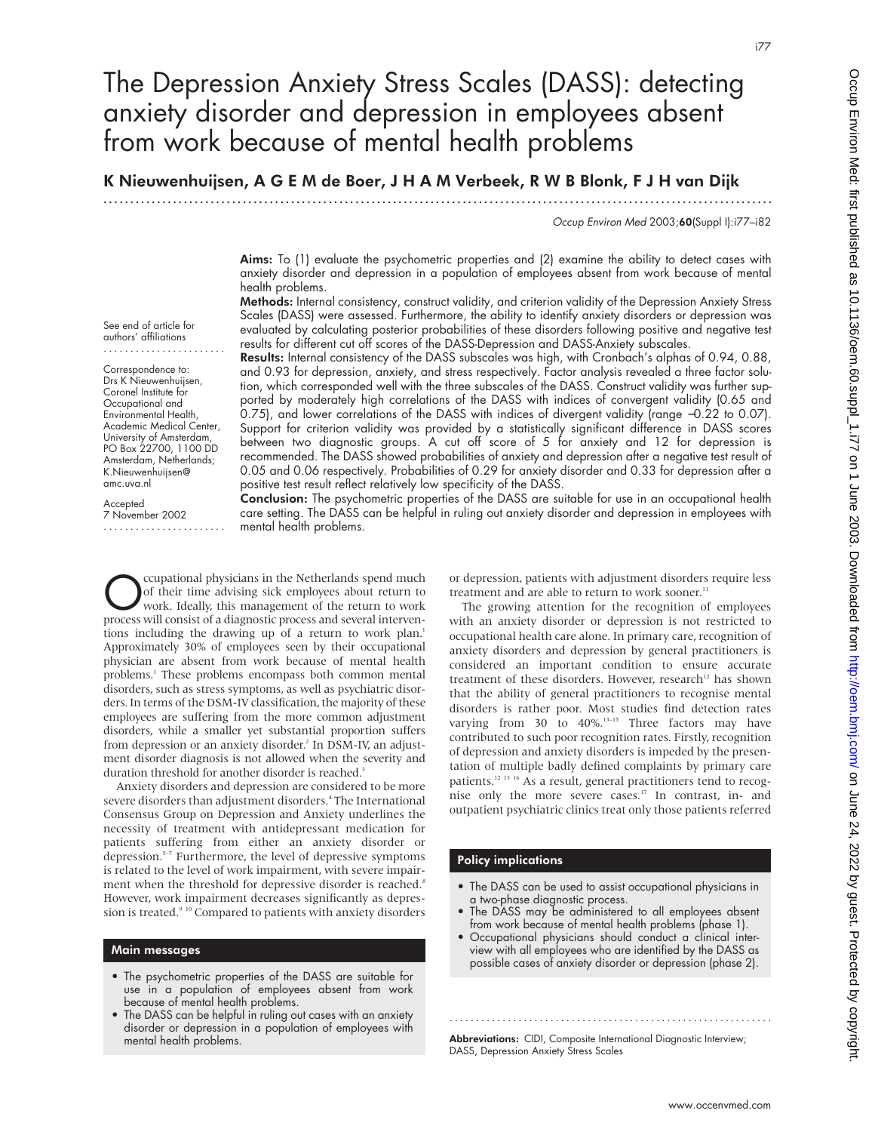# The Depression Anxiety Stress Scales (DASS): detecting anxiety disorder and depression in employees absent from work because of mental health problems

K Nieuwenhuijsen, A G E M de Boer, J H A M Verbeek, R W B Blonk, F J H van Dijk

.............................................................................................................................

Occup Environ Med 2003;60(Suppl I):i77–i82

Aims: To (1) evaluate the psychometric properties and (2) examine the ability to detect cases with anxiety disorder and depression in a population of employees absent from work because of mental health problems.

Methods: Internal consistency, construct validity, and criterion validity of the Depression Anxiety Stress Scales (DASS) were assessed. Furthermore, the ability to identify anxiety disorders or depression was evaluated by calculating posterior probabilities of these disorders following positive and negative test results for different cut off scores of the DASS-Depression and DASS-Anxiety subscales.

Results: Internal consistency of the DASS subscales was high, with Cronbach's alphas of 0.94, 0.88, and 0.93 for depression, anxiety, and stress respectively. Factor analysis revealed a three factor solution, which corresponded well with the three subscales of the DASS. Construct validity was further supported by moderately high correlations of the DASS with indices of convergent validity (0.65 and 0.75), and lower correlations of the DASS with indices of divergent validity (range −0.22 to 0.07). Support for criterion validity was provided by a statistically significant difference in DASS scores between two diagnostic groups. A cut off score of 5 for anxiety and 12 for depression is recommended. The DASS showed probabilities of anxiety and depression after a negative test result of 0.05 and 0.06 respectively. Probabilities of 0.29 for anxiety disorder and 0.33 for depression after a positive test result reflect relatively low specificity of the DASS.

Conclusion: The psychometric properties of the DASS are suitable for use in an occupational health care setting. The DASS can be helpful in ruling out anxiety disorder and depression in employees with mental health problems.

Coupational physicians in the Netherlands spend much<br>of their time advising sick employees about return to<br>work. Ideally, this management of the return to work<br>process will consist of a diagnostic process and several inter of their time advising sick employees about return to process will consist of a diagnostic process and several interventions including the drawing up of a return to work plan.<sup>1</sup> Approximately 30% of employees seen by their occupational physician are absent from work because of mental health problems.<sup>1</sup> These problems encompass both common mental disorders, such as stress symptoms, as well as psychiatric disorders. In terms of the DSM-IV classification, the majority of these employees are suffering from the more common adjustment disorders, while a smaller yet substantial proportion suffers from depression or an anxiety disorder.<sup>2</sup> In DSM-IV, an adjustment disorder diagnosis is not allowed when the severity and duration threshold for another disorder is reached.<sup>3</sup>

Anxiety disorders and depression are considered to be more severe disorders than adjustment disorders.<sup>4</sup> The International Consensus Group on Depression and Anxiety underlines the necessity of treatment with antidepressant medication for patients suffering from either an anxiety disorder or depression.5–7 Furthermore, the level of depressive symptoms is related to the level of work impairment, with severe impairment when the threshold for depressive disorder is reached.<sup>8</sup> However, work impairment decreases significantly as depression is treated.<sup>9 10</sup> Compared to patients with anxiety disorders

## Main messages

- The psychometric properties of the DASS are suitable for use in a population of employees absent from work because of mental health problems.
- The DASS can be helpful in ruling out cases with an anxiety disorder or depression in a population of employees with mental health problems.

or depression, patients with adjustment disorders require less treatment and are able to return to work sooner.<sup>11</sup>

The growing attention for the recognition of employees with an anxiety disorder or depression is not restricted to occupational health care alone. In primary care, recognition of anxiety disorders and depression by general practitioners is considered an important condition to ensure accurate treatment of these disorders. However, research<sup>12</sup> has shown that the ability of general practitioners to recognise mental disorders is rather poor. Most studies find detection rates varying from 30 to 40%.13–15 Three factors may have contributed to such poor recognition rates. Firstly, recognition of depression and anxiety disorders is impeded by the presentation of multiple badly defined complaints by primary care patients.12 13 16 As a result, general practitioners tend to recognise only the more severe cases.<sup>17</sup> In contrast, in- and outpatient psychiatric clinics treat only those patients referred

## Policy implications

- The DASS can be used to assist occupational physicians in a two-phase diagnostic process.
- The DASS may be administered to all employees absent from work because of mental health problems (phase 1).
- Occupational physicians should conduct a clinical interview with all employees who are identified by the DASS as possible cases of anxiety disorder or depression (phase 2).

.............................................................

Abbreviations: CIDI, Composite International Diagnostic Interview; DASS, Depression Anxiety Stress Scales

authors' affiliations .......................

See end of article for

Correspondence to: Drs K Nieuwenhuijsen, Coronel Institute for Occupational and Environmental Health, Academic Medical Center, University of Amsterdam, PO Box 22700, 1100 DD Amsterdam, Netherlands; K.Nieuwenhuijsen@ amc.uva.nl

Accepted 7 November 2002 .......................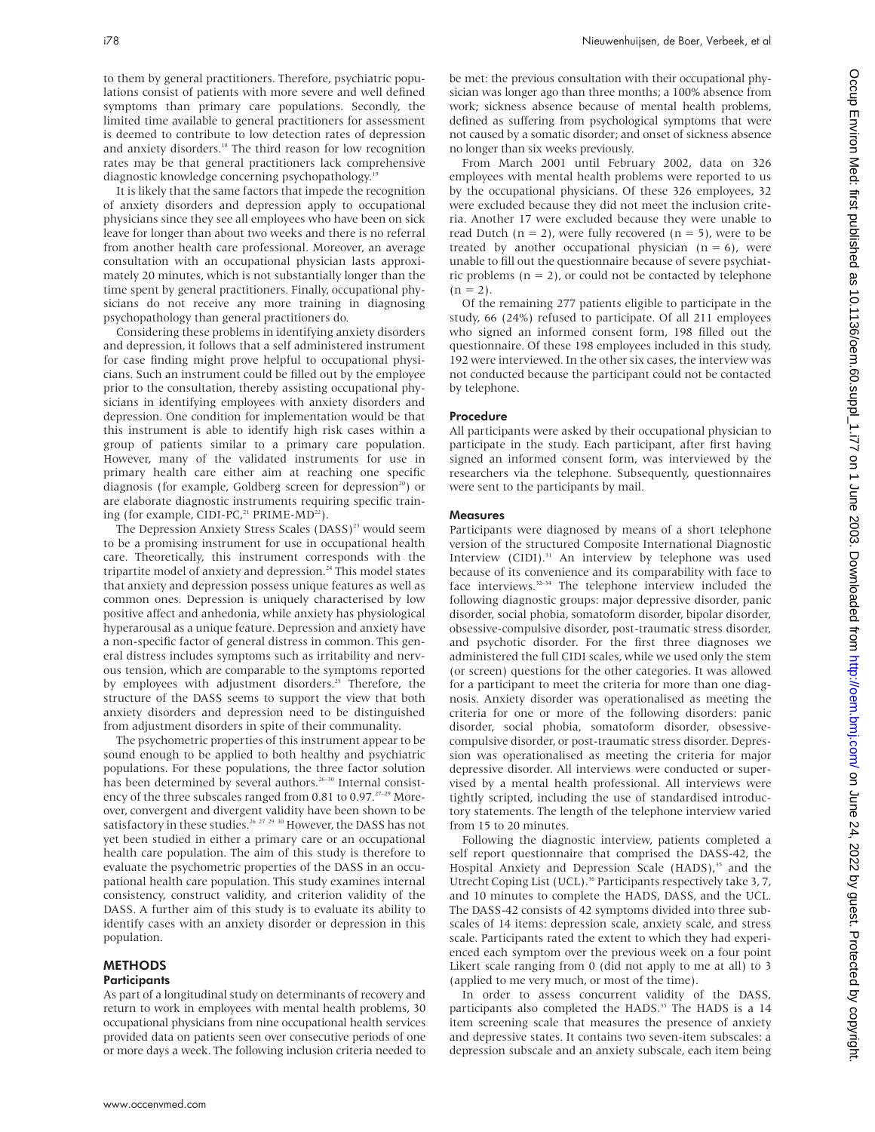to them by general practitioners. Therefore, psychiatric populations consist of patients with more severe and well defined symptoms than primary care populations. Secondly, the limited time available to general practitioners for assessment is deemed to contribute to low detection rates of depression and anxiety disorders.<sup>18</sup> The third reason for low recognition rates may be that general practitioners lack comprehensive diagnostic knowledge concerning psychopathology.<sup>1</sup>

It is likely that the same factors that impede the recognition of anxiety disorders and depression apply to occupational physicians since they see all employees who have been on sick leave for longer than about two weeks and there is no referral from another health care professional. Moreover, an average consultation with an occupational physician lasts approximately 20 minutes, which is not substantially longer than the time spent by general practitioners. Finally, occupational physicians do not receive any more training in diagnosing psychopathology than general practitioners do.

Considering these problems in identifying anxiety disorders and depression, it follows that a self administered instrument for case finding might prove helpful to occupational physicians. Such an instrument could be filled out by the employee prior to the consultation, thereby assisting occupational physicians in identifying employees with anxiety disorders and depression. One condition for implementation would be that this instrument is able to identify high risk cases within a group of patients similar to a primary care population. However, many of the validated instruments for use in primary health care either aim at reaching one specific diagnosis (for example, Goldberg screen for depression<sup>20</sup>) or are elaborate diagnostic instruments requiring specific training (for example, CIDI-PC, $^{21}$  PRIME-MD<sup>22</sup>).

The Depression Anxiety Stress Scales (DASS)<sup>23</sup> would seem to be a promising instrument for use in occupational health care. Theoretically, this instrument corresponds with the tripartite model of anxiety and depression.<sup>24</sup> This model states that anxiety and depression possess unique features as well as common ones. Depression is uniquely characterised by low positive affect and anhedonia, while anxiety has physiological hyperarousal as a unique feature. Depression and anxiety have a non-specific factor of general distress in common. This general distress includes symptoms such as irritability and nervous tension, which are comparable to the symptoms reported by employees with adjustment disorders.<sup>25</sup> Therefore, the structure of the DASS seems to support the view that both anxiety disorders and depression need to be distinguished from adjustment disorders in spite of their communality.

The psychometric properties of this instrument appear to be sound enough to be applied to both healthy and psychiatric populations. For these populations, the three factor solution has been determined by several authors.<sup>26-30</sup> Internal consistency of the three subscales ranged from 0.81 to 0.97.<sup>27-29</sup> Moreover, convergent and divergent validity have been shown to be satisfactory in these studies.<sup>26, 27, 29, 30</sup> However, the DASS has not yet been studied in either a primary care or an occupational health care population. The aim of this study is therefore to evaluate the psychometric properties of the DASS in an occupational health care population. This study examines internal consistency, construct validity, and criterion validity of the DASS. A further aim of this study is to evaluate its ability to identify cases with an anxiety disorder or depression in this population.

## **METHODS Participants**

As part of a longitudinal study on determinants of recovery and return to work in employees with mental health problems, 30 occupational physicians from nine occupational health services provided data on patients seen over consecutive periods of one or more days a week. The following inclusion criteria needed to be met: the previous consultation with their occupational physician was longer ago than three months; a 100% absence from work; sickness absence because of mental health problems, defined as suffering from psychological symptoms that were not caused by a somatic disorder; and onset of sickness absence no longer than six weeks previously.

From March 2001 until February 2002, data on 326 employees with mental health problems were reported to us by the occupational physicians. Of these 326 employees, 32 were excluded because they did not meet the inclusion criteria. Another 17 were excluded because they were unable to read Dutch ( $n = 2$ ), were fully recovered ( $n = 5$ ), were to be treated by another occupational physician  $(n = 6)$ , were unable to fill out the questionnaire because of severe psychiatric problems  $(n = 2)$ , or could not be contacted by telephone  $(n = 2)$ .

Of the remaining 277 patients eligible to participate in the study, 66 (24%) refused to participate. Of all 211 employees who signed an informed consent form, 198 filled out the questionnaire. Of these 198 employees included in this study, 192 were interviewed. In the other six cases, the interview was not conducted because the participant could not be contacted by telephone.

## Procedure

All participants were asked by their occupational physician to participate in the study. Each participant, after first having signed an informed consent form, was interviewed by the researchers via the telephone. Subsequently, questionnaires were sent to the participants by mail.

## **Measures**

Participants were diagnosed by means of a short telephone version of the structured Composite International Diagnostic Interview (CIDI).<sup>31</sup> An interview by telephone was used because of its convenience and its comparability with face to face interviews.<sup>32-34</sup> The telephone interview included the following diagnostic groups: major depressive disorder, panic disorder, social phobia, somatoform disorder, bipolar disorder, obsessive-compulsive disorder, post-traumatic stress disorder, and psychotic disorder. For the first three diagnoses we administered the full CIDI scales, while we used only the stem (or screen) questions for the other categories. It was allowed for a participant to meet the criteria for more than one diagnosis. Anxiety disorder was operationalised as meeting the criteria for one or more of the following disorders: panic disorder, social phobia, somatoform disorder, obsessivecompulsive disorder, or post-traumatic stress disorder. Depression was operationalised as meeting the criteria for major depressive disorder. All interviews were conducted or supervised by a mental health professional. All interviews were tightly scripted, including the use of standardised introductory statements. The length of the telephone interview varied from 15 to 20 minutes.

Following the diagnostic interview, patients completed a self report questionnaire that comprised the DASS-42, the Hospital Anxiety and Depression Scale  $(HADS)$ ,<sup>35</sup> and the Utrecht Coping List (UCL).<sup>36</sup> Participants respectively take 3, 7, and 10 minutes to complete the HADS, DASS, and the UCL. The DASS-42 consists of 42 symptoms divided into three subscales of 14 items: depression scale, anxiety scale, and stress scale. Participants rated the extent to which they had experienced each symptom over the previous week on a four point Likert scale ranging from 0 (did not apply to me at all) to 3 (applied to me very much, or most of the time).

In order to assess concurrent validity of the DASS, participants also completed the HADS.<sup>35</sup> The HADS is a 14 item screening scale that measures the presence of anxiety and depressive states. It contains two seven-item subscales: a depression subscale and an anxiety subscale, each item being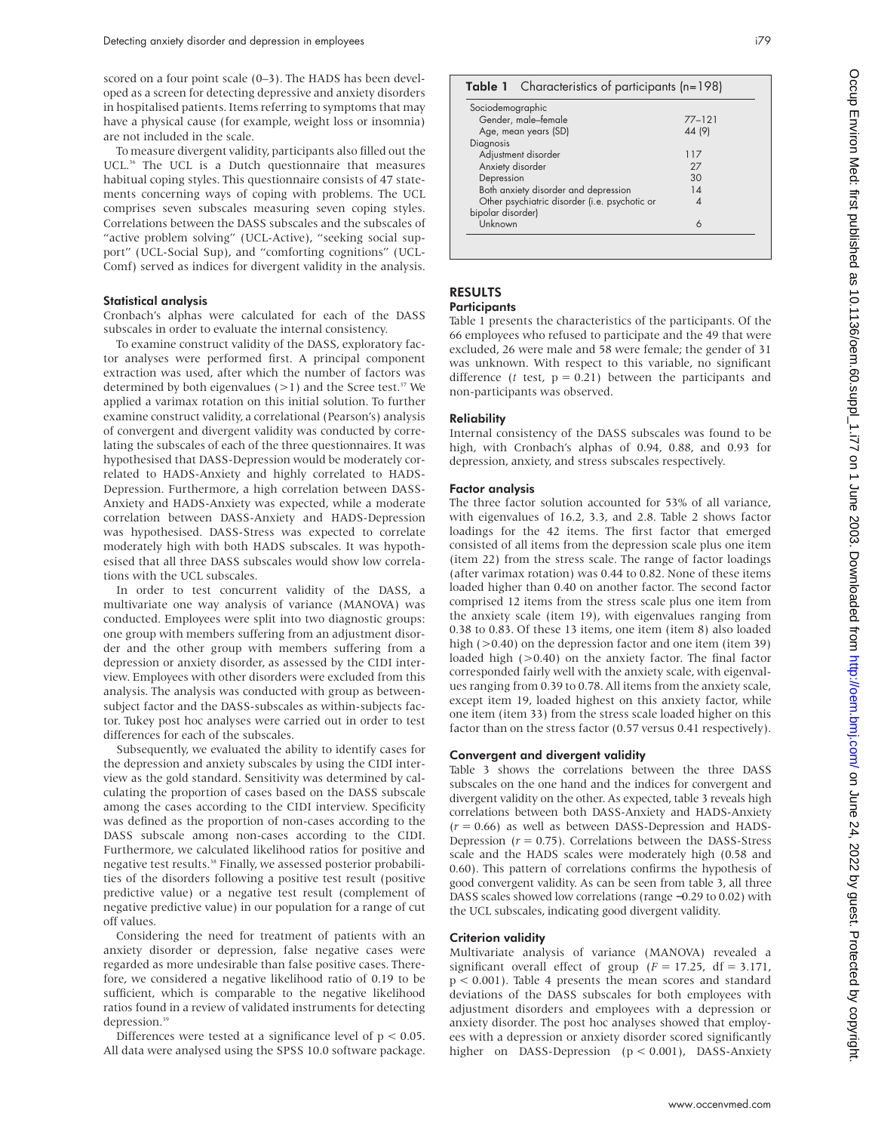scored on a four point scale (0–3). The HADS has been developed as a screen for detecting depressive and anxiety disorders in hospitalised patients. Items referring to symptoms that may have a physical cause (for example, weight loss or insomnia) are not included in the scale.

To measure divergent validity, participants also filled out the UCL.36 The UCL is a Dutch questionnaire that measures habitual coping styles. This questionnaire consists of 47 statements concerning ways of coping with problems. The UCL comprises seven subscales measuring seven coping styles. Correlations between the DASS subscales and the subscales of "active problem solving" (UCL-Active), "seeking social support" (UCL-Social Sup), and "comforting cognitions" (UCL-Comf) served as indices for divergent validity in the analysis.

## Statistical analysis

Cronbach's alphas were calculated for each of the DASS subscales in order to evaluate the internal consistency.

To examine construct validity of the DASS, exploratory factor analyses were performed first. A principal component extraction was used, after which the number of factors was determined by both eigenvalues  $(>1)$  and the Scree test.<sup>37</sup> We applied a varimax rotation on this initial solution. To further examine construct validity, a correlational (Pearson's) analysis of convergent and divergent validity was conducted by correlating the subscales of each of the three questionnaires. It was hypothesised that DASS-Depression would be moderately correlated to HADS-Anxiety and highly correlated to HADS-Depression. Furthermore, a high correlation between DASS-Anxiety and HADS-Anxiety was expected, while a moderate correlation between DASS-Anxiety and HADS-Depression was hypothesised. DASS-Stress was expected to correlate moderately high with both HADS subscales. It was hypothesised that all three DASS subscales would show low correlations with the UCL subscales.

In order to test concurrent validity of the DASS, a multivariate one way analysis of variance (MANOVA) was conducted. Employees were split into two diagnostic groups: one group with members suffering from an adjustment disorder and the other group with members suffering from a depression or anxiety disorder, as assessed by the CIDI interview. Employees with other disorders were excluded from this analysis. The analysis was conducted with group as betweensubject factor and the DASS-subscales as within-subjects factor. Tukey post hoc analyses were carried out in order to test differences for each of the subscales.

Subsequently, we evaluated the ability to identify cases for the depression and anxiety subscales by using the CIDI interview as the gold standard. Sensitivity was determined by calculating the proportion of cases based on the DASS subscale among the cases according to the CIDI interview. Specificity was defined as the proportion of non-cases according to the DASS subscale among non-cases according to the CIDI. Furthermore, we calculated likelihood ratios for positive and negative test results.38 Finally, we assessed posterior probabilities of the disorders following a positive test result (positive predictive value) or a negative test result (complement of negative predictive value) in our population for a range of cut off values.

Considering the need for treatment of patients with an anxiety disorder or depression, false negative cases were regarded as more undesirable than false positive cases. Therefore, we considered a negative likelihood ratio of 0.19 to be sufficient, which is comparable to the negative likelihood ratios found in a review of validated instruments for detecting depression.<sup>39</sup>

Differences were tested at a significance level of  $p < 0.05$ . All data were analysed using the SPSS 10.0 software package.

| Sociodemographic                                                   |                |
|--------------------------------------------------------------------|----------------|
| Gender, male-female                                                | $77 - 121$     |
| Age, mean years (SD)                                               | 44 (9)         |
| Diagnosis                                                          |                |
| Adjustment disorder                                                | 117            |
| Anxiety disorder                                                   | 27             |
| Depression                                                         | 30             |
| Both anxiety disorder and depression                               | 14             |
| Other psychiatric disorder (i.e. psychotic or<br>bipolar disorder) | $\overline{A}$ |
| Unknown                                                            | 6              |

## RESULTS **Participants**

Table 1 presents the characteristics of the participants. Of the 66 employees who refused to participate and the 49 that were

excluded, 26 were male and 58 were female; the gender of 31 was unknown. With respect to this variable, no significant difference ( $t$  test,  $p = 0.21$ ) between the participants and non-participants was observed.

## **Reliability**

Internal consistency of the DASS subscales was found to be high, with Cronbach's alphas of 0.94, 0.88, and 0.93 for depression, anxiety, and stress subscales respectively.

## Factor analysis

The three factor solution accounted for 53% of all variance, with eigenvalues of 16.2, 3.3, and 2.8. Table 2 shows factor loadings for the 42 items. The first factor that emerged consisted of all items from the depression scale plus one item (item 22) from the stress scale. The range of factor loadings (after varimax rotation) was 0.44 to 0.82. None of these items loaded higher than 0.40 on another factor. The second factor comprised 12 items from the stress scale plus one item from the anxiety scale (item 19), with eigenvalues ranging from 0.38 to 0.83. Of these 13 items, one item (item 8) also loaded high ( $>0.40$ ) on the depression factor and one item (item 39) loaded high (>0.40) on the anxiety factor. The final factor corresponded fairly well with the anxiety scale, with eigenvalues ranging from 0.39 to 0.78. All items from the anxiety scale, except item 19, loaded highest on this anxiety factor, while one item (item 33) from the stress scale loaded higher on this factor than on the stress factor (0.57 versus 0.41 respectively).

## Convergent and divergent validity

Table 3 shows the correlations between the three DASS subscales on the one hand and the indices for convergent and divergent validity on the other. As expected, table 3 reveals high correlations between both DASS-Anxiety and HADS-Anxiety  $(r = 0.66)$  as well as between DASS-Depression and HADS-Depression  $(r = 0.75)$ . Correlations between the DASS-Stress scale and the HADS scales were moderately high (0.58 and 0.60). This pattern of correlations confirms the hypothesis of good convergent validity. As can be seen from table 3, all three DASS scales showed low correlations (range −0.29 to 0.02) with the UCL subscales, indicating good divergent validity.

## Criterion validity

Multivariate analysis of variance (MANOVA) revealed a significant overall effect of group  $(F = 17.25, df = 3.171,$ p < 0.001). Table 4 presents the mean scores and standard deviations of the DASS subscales for both employees with adjustment disorders and employees with a depression or anxiety disorder. The post hoc analyses showed that employees with a depression or anxiety disorder scored significantly higher on DASS-Depression (p < 0.001), DASS-Anxiety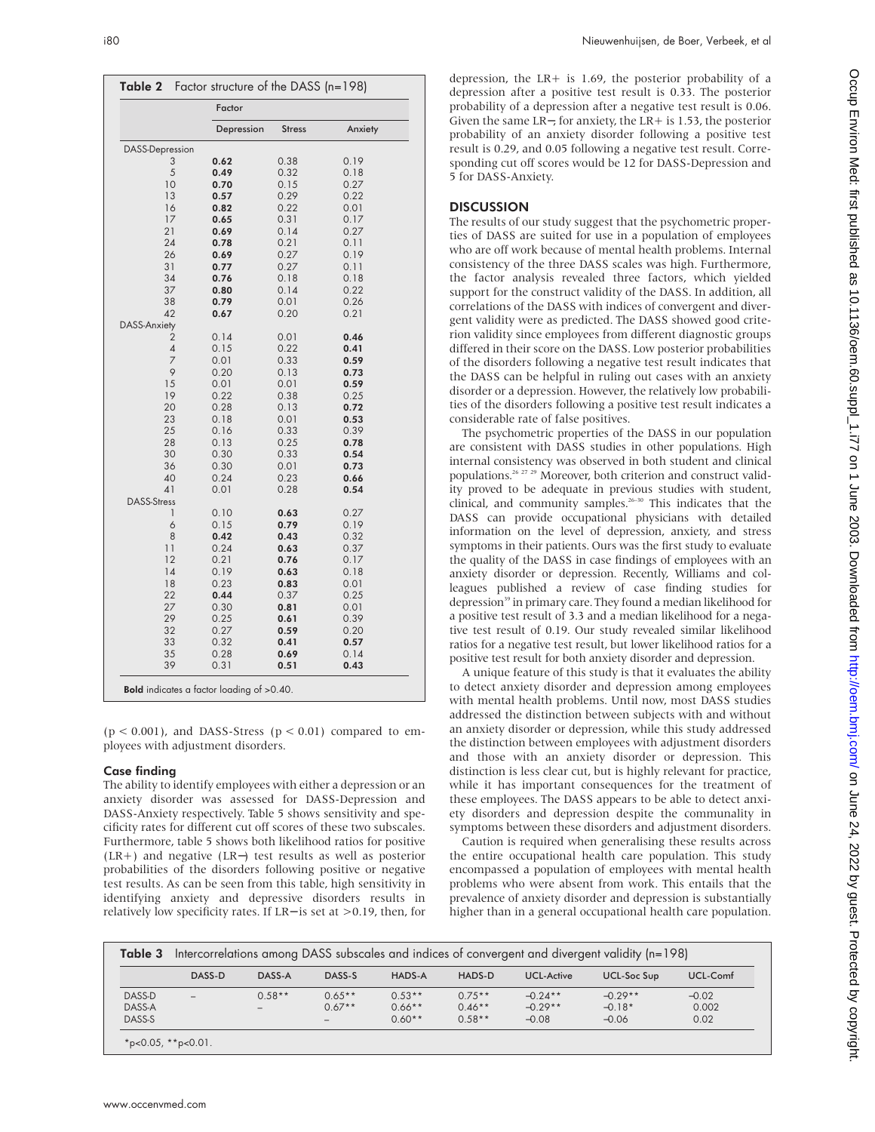|                        | Factor     |               |         |
|------------------------|------------|---------------|---------|
|                        | Depression | <b>Stress</b> | Anxiety |
| <b>DASS-Depression</b> |            |               |         |
| 3                      | 0.62       | 0.38          | 0.19    |
| 5                      | 0.49       | 0.32          | 0.18    |
| 10                     | 0.70       | 0.15          | 0.27    |
| 13                     | 0.57       | 0.29          | 0.22    |
| 16                     | 0.82       | 0.22          | 0.01    |
| 17                     | 0.65       | 0.31          | 0.17    |
| 21                     | 0.69       | 0.14          | 0.27    |
| 24                     | 0.78       | 0.21          | 0.11    |
| 26                     | 0.69       | 0.27          | 0.19    |
| 31                     | 0.77       | 0.27          | 0.11    |
| 34                     | 0.76       | 0.18          | 0.18    |
| 37                     | 0.80       | 0.14          | 0.22    |
| 38                     | 0.79       | 0.01          | 0.26    |
| 42                     | 0.67       | 0.20          | 0.21    |
| <b>DASS-Anxiety</b>    |            |               |         |
| 2                      | 0.14       | 0.01          | 0.46    |
| 4                      | 0.15       | 0.22          | 0.41    |
| 7                      | 0.01       | 0.33          | 0.59    |
| 9                      | 0.20       | 0.13          | 0.73    |
| 15                     | 0.01       | 0.01          | 0.59    |
| 19                     | 0.22       | 0.38          | 0.25    |
| 20                     | 0.28       | 0.13          | 0.72    |
| 23                     | 0.18       | 0.01          | 0.53    |
| 25                     | 0.16       | 0.33          | 0.39    |
| 28                     | 0.13       | 0.25          | 0.78    |
| 30                     | 0.30       | 0.33          | 0.54    |
| 36                     | 0.30       | 0.01          | 0.73    |
| 40                     | 0.24       | 0.23          | 0.66    |
| 41                     | 0.01       | 0.28          | 0.54    |
| <b>DASS-Stress</b>     |            |               |         |
| 1                      | 0.10       | 0.63          | 0.27    |
| 6                      | 0.15       | 0.79          | 0.19    |
| 8                      | 0.42       | 0.43          | 0.32    |
| 11                     | 0.24       | 0.63          | 0.37    |
| 12                     | 0.21       | 0.76          | 0.17    |
| 14                     | 0.19       | 0.63          | 0.18    |
| 18                     | 0.23       | 0.83          | 0.01    |
| 22                     | 0.44       | 0.37          | 0.25    |
| 27                     | 0.30       | 0.81          | 0.01    |
| 29                     | 0.25       | 0.61          | 0.39    |
| 32                     | 0.27       | 0.59          | 0.20    |
| 33                     | 0.32       | 0.41          | 0.57    |
| 35                     | 0.28       | 0.69          | 0.14    |
| 39                     | 0.31       | 0.51          | 0.43    |

 $(p < 0.001)$ , and DASS-Stress  $(p < 0.01)$  compared to employees with adjustment disorders.

## Case finding

The ability to identify employees with either a depression or an anxiety disorder was assessed for DASS-Depression and DASS-Anxiety respectively. Table 5 shows sensitivity and specificity rates for different cut off scores of these two subscales. Furthermore, table 5 shows both likelihood ratios for positive (LR+) and negative (LR−) test results as well as posterior probabilities of the disorders following positive or negative test results. As can be seen from this table, high sensitivity in identifying anxiety and depressive disorders results in relatively low specificity rates. If LR− is set at >0.19, then, for

depression, the LR+ is 1.69, the posterior probability of a depression after a positive test result is 0.33. The posterior probability of a depression after a negative test result is 0.06. Given the same LR−, for anxiety, the LR+ is 1.53, the posterior probability of an anxiety disorder following a positive test result is 0.29, and 0.05 following a negative test result. Corresponding cut off scores would be 12 for DASS-Depression and 5 for DASS-Anxiety.

## **DISCUSSION**

The results of our study suggest that the psychometric properties of DASS are suited for use in a population of employees who are off work because of mental health problems. Internal consistency of the three DASS scales was high. Furthermore, the factor analysis revealed three factors, which yielded support for the construct validity of the DASS. In addition, all correlations of the DASS with indices of convergent and divergent validity were as predicted. The DASS showed good criterion validity since employees from different diagnostic groups differed in their score on the DASS. Low posterior probabilities of the disorders following a negative test result indicates that the DASS can be helpful in ruling out cases with an anxiety disorder or a depression. However, the relatively low probabilities of the disorders following a positive test result indicates a considerable rate of false positives.

The psychometric properties of the DASS in our population are consistent with DASS studies in other populations. High internal consistency was observed in both student and clinical populations.26 27 29 Moreover, both criterion and construct validity proved to be adequate in previous studies with student, clinical, and community samples.26–30 This indicates that the DASS can provide occupational physicians with detailed information on the level of depression, anxiety, and stress symptoms in their patients. Ours was the first study to evaluate the quality of the DASS in case findings of employees with an anxiety disorder or depression. Recently, Williams and colleagues published a review of case finding studies for depression<sup>39</sup> in primary care. They found a median likelihood for a positive test result of 3.3 and a median likelihood for a negative test result of 0.19. Our study revealed similar likelihood ratios for a negative test result, but lower likelihood ratios for a positive test result for both anxiety disorder and depression.

A unique feature of this study is that it evaluates the ability to detect anxiety disorder and depression among employees with mental health problems. Until now, most DASS studies addressed the distinction between subjects with and without an anxiety disorder or depression, while this study addressed the distinction between employees with adjustment disorders and those with an anxiety disorder or depression. This distinction is less clear cut, but is highly relevant for practice, while it has important consequences for the treatment of these employees. The DASS appears to be able to detect anxiety disorders and depression despite the communality in symptoms between these disorders and adjustment disorders.

Caution is required when generalising these results across the entire occupational health care population. This study encompassed a population of employees with mental health problems who were absent from work. This entails that the prevalence of anxiety disorder and depression is substantially higher than in a general occupational health care population.

|        | DASS-D                   | DASS-A   | DASS-S   | <b>HADS-A</b> | HADS-D   | <b>UCL-Active</b> | <b>UCL-Soc Sup</b> | <b>UCL-Comf</b> |
|--------|--------------------------|----------|----------|---------------|----------|-------------------|--------------------|-----------------|
| DASS-D | $\overline{\phantom{a}}$ | $0.58**$ | $0.65**$ | $0.53**$      | $0.75**$ | $-0.24**$         | $-0.29**$          | $-0.02$         |
| DASS-A |                          | -        | $0.67**$ | $0.66**$      | $0.46**$ | $-0.29**$         | $-0.18*$           | 0.002           |
| DASS-S |                          |          |          | $0.60**$      | $0.58**$ | $-0.08$           | $-0.06$            | 0.02            |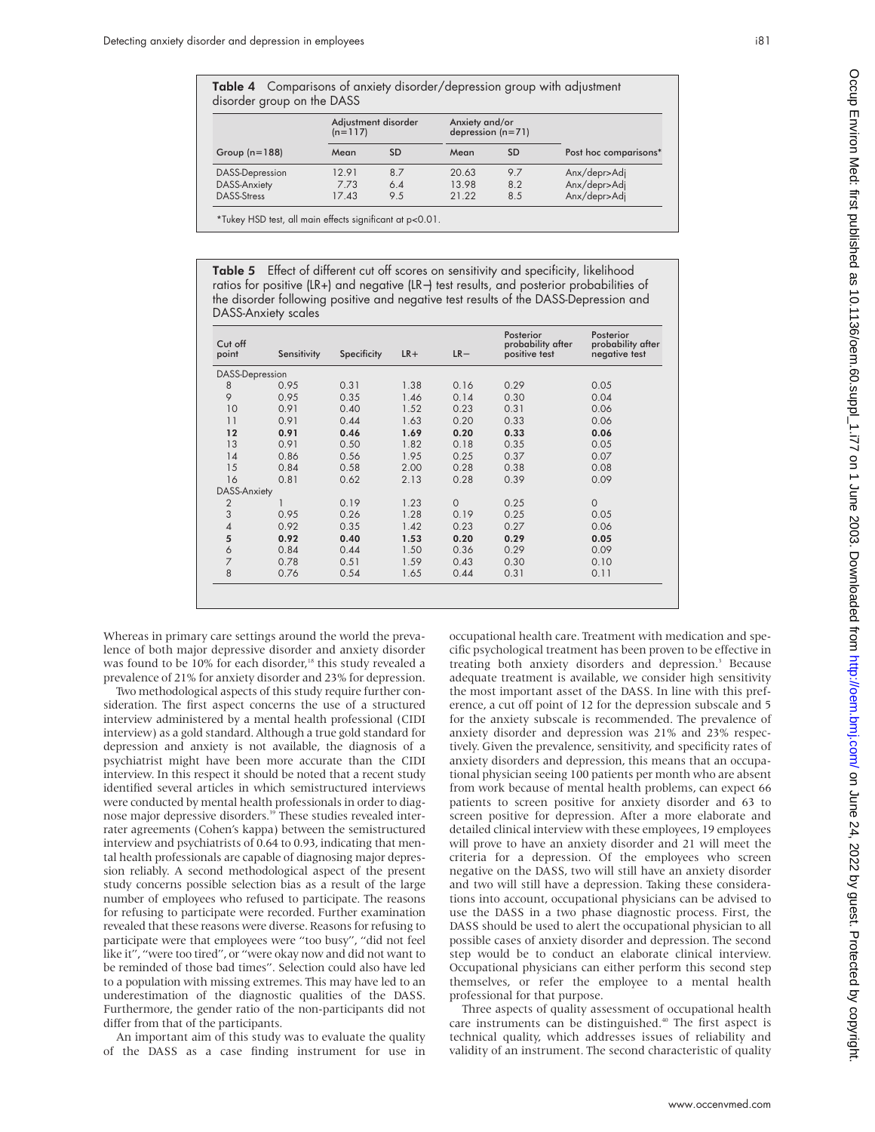|                 | Adjustment disorder<br>$(n=117)$ |           | Anxiety and/or<br>depression (n=71) |           |                       |
|-----------------|----------------------------------|-----------|-------------------------------------|-----------|-----------------------|
| Group $(n=188)$ | Mean                             | <b>SD</b> | Mean                                | <b>SD</b> | Post hoc comparisons* |
| DASS-Depression | 1291                             | 87        | 20.63                               | 97        | Anx/depr>Adj          |
| DASS-Anxiety    | 7.73                             | 64        | 1398                                | 8.2       | Anx/depr>Adj          |
| DASS-Stress     | 17.43                            | 9.5       | 21 22                               | 8.5       | Anx/depr>Adj          |

Table 5 Effect of different cut off scores on sensitivity and specificity, likelihood ratios for positive (LR+) and negative (LR−) test results, and posterior probabilities of the disorder following positive and negative test results of the DASS-Depression and DASS-Anxiety scales

| Cut off<br>point | Sensitivity | Specificity | $LR+$ | $LR-$       | Posterior<br>probability after<br>positive test | Posterior<br>probability after<br>negative test |
|------------------|-------------|-------------|-------|-------------|-------------------------------------------------|-------------------------------------------------|
| DASS-Depression  |             |             |       |             |                                                 |                                                 |
| 8                | 0.95        | 0.31        | 1.38  | 0.16        | 0.29                                            | 0.05                                            |
| 9                | 0.95        | 0.35        | 1.46  | 0.14        | 0.30                                            | 0.04                                            |
| 10               | 0.91        | 0.40        | 1.52  | 0.23        | 0.31                                            | 0.06                                            |
| 11               | 0.91        | 0.44        | 1.63  | 0.20        | 0.33                                            | 0.06                                            |
| 12               | 0.91        | 0.46        | 1.69  | 0.20        | 0.33                                            | 0.06                                            |
| 13               | 0.91        | 0.50        | 1.82  | 0.18        | 0.35                                            | 0.05                                            |
| 14               | 0.86        | 0.56        | 1.95  | 0.25        | 0.37                                            | 0.07                                            |
| 15               | 0.84        | 0.58        | 2.00  | 0.28        | 0.38                                            | 0.08                                            |
| 16               | 0.81        | 0.62        | 2.13  | 0.28        | 0.39                                            | 0.09                                            |
| DASS-Anxiety     |             |             |       |             |                                                 |                                                 |
| $\overline{2}$   |             | 0.19        | 1.23  | $\mathbf 0$ | 0.25                                            | $\mathbf{O}$                                    |
| 3                | 0.95        | 0.26        | 1.28  | 0.19        | 0.25                                            | 0.05                                            |
| $\overline{4}$   | 0.92        | 0.35        | 1.42  | 0.23        | 0.27                                            | 0.06                                            |
| 5                | 0.92        | 0.40        | 1.53  | 0.20        | 0.29                                            | 0.05                                            |
| 6                | 0.84        | 0.44        | 1.50  | 0.36        | 0.29                                            | 0.09                                            |
| $\overline{7}$   | 0.78        | 0.51        | 1.59  | 0.43        | 0.30                                            | 0.10                                            |
| 8                | 0.76        | 0.54        | 1.65  | 0.44        | 0.31                                            | 0.11                                            |

Whereas in primary care settings around the world the prevalence of both major depressive disorder and anxiety disorder was found to be 10% for each disorder,<sup>18</sup> this study revealed a prevalence of 21% for anxiety disorder and 23% for depression.

Two methodological aspects of this study require further consideration. The first aspect concerns the use of a structured interview administered by a mental health professional (CIDI interview) as a gold standard. Although a true gold standard for depression and anxiety is not available, the diagnosis of a psychiatrist might have been more accurate than the CIDI interview. In this respect it should be noted that a recent study identified several articles in which semistructured interviews were conducted by mental health professionals in order to diagnose major depressive disorders.<sup>39</sup> These studies revealed interrater agreements (Cohen's kappa) between the semistructured interview and psychiatrists of 0.64 to 0.93, indicating that mental health professionals are capable of diagnosing major depression reliably. A second methodological aspect of the present study concerns possible selection bias as a result of the large number of employees who refused to participate. The reasons for refusing to participate were recorded. Further examination revealed that these reasons were diverse. Reasons for refusing to participate were that employees were "too busy", "did not feel like it", "were too tired", or "were okay now and did not want to be reminded of those bad times". Selection could also have led to a population with missing extremes. This may have led to an underestimation of the diagnostic qualities of the DASS. Furthermore, the gender ratio of the non-participants did not differ from that of the participants.

An important aim of this study was to evaluate the quality of the DASS as a case finding instrument for use in

occupational health care. Treatment with medication and specific psychological treatment has been proven to be effective in treating both anxiety disorders and depression.<sup>3</sup> Because adequate treatment is available, we consider high sensitivity the most important asset of the DASS. In line with this preference, a cut off point of 12 for the depression subscale and 5 for the anxiety subscale is recommended. The prevalence of anxiety disorder and depression was 21% and 23% respectively. Given the prevalence, sensitivity, and specificity rates of anxiety disorders and depression, this means that an occupational physician seeing 100 patients per month who are absent from work because of mental health problems, can expect 66 patients to screen positive for anxiety disorder and 63 to screen positive for depression. After a more elaborate and detailed clinical interview with these employees, 19 employees will prove to have an anxiety disorder and 21 will meet the criteria for a depression. Of the employees who screen negative on the DASS, two will still have an anxiety disorder and two will still have a depression. Taking these considerations into account, occupational physicians can be advised to use the DASS in a two phase diagnostic process. First, the DASS should be used to alert the occupational physician to all possible cases of anxiety disorder and depression. The second step would be to conduct an elaborate clinical interview. Occupational physicians can either perform this second step themselves, or refer the employee to a mental health professional for that purpose.

Three aspects of quality assessment of occupational health care instruments can be distinguished.<sup>40</sup> The first aspect is technical quality, which addresses issues of reliability and validity of an instrument. The second characteristic of quality